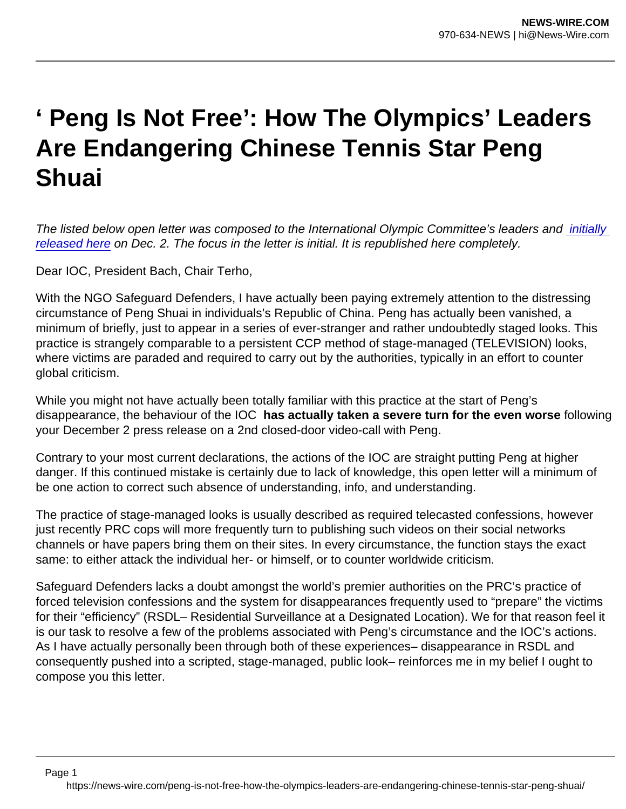## ' Peng Is Not Free': How The Olympics' Leaders Are Endangering Chinese Tennis Star Peng Shuai

The listed below open letter was composed to the International Olympic Committee's leaders and initially [released here](https://safeguarddefenders.com/en/blog/open-letter-ioc-peng-shuai) on Dec. 2. The focus in the letter is initial. It is republished here completely.

Dear IOC, President Bach, Chair Terho,

With the NGO Safeguard Defenders, I have actually been paying extremely attention to the distressing circumstance of Peng Shuai in individuals's Republic of China. Peng has actually been vanished, a minimum of briefly, just to appear in a series of ever-stranger and rather undoubtedly staged looks. This practice is strangely comparable to a persistent CCP method of stage-managed (TELEVISION) looks, where victims are paraded and required to carry out by the authorities, typically in an effort to counter global criticism.

While you might not have actually been totally familiar with this practice at the start of Peng's disappearance, the behaviour of the IOC has actually taken a severe turn for the even worse following your December 2 press release on a 2nd closed-door video-call with Peng.

Contrary to your most current declarations, the actions of the IOC are straight putting Peng at higher danger. If this continued mistake is certainly due to lack of knowledge, this open letter will a minimum of be one action to correct such absence of understanding, info, and understanding.

The practice of stage-managed looks is usually described as required telecasted confessions, however just recently PRC cops will more frequently turn to publishing such videos on their social networks channels or have papers bring them on their sites. In every circumstance, the function stays the exact same: to either attack the individual her- or himself, or to counter worldwide criticism.

Safeguard Defenders lacks a doubt amongst the world's premier authorities on the PRC's practice of forced television confessions and the system for disappearances frequently used to "prepare" the victims for their "efficiency" (RSDL– Residential Surveillance at a Designated Location). We for that reason feel it is our task to resolve a few of the problems associated with Peng's circumstance and the IOC's actions. As I have actually personally been through both of these experiences– disappearance in RSDL and consequently pushed into a scripted, stage-managed, public look– reinforces me in my belief I ought to compose you this letter.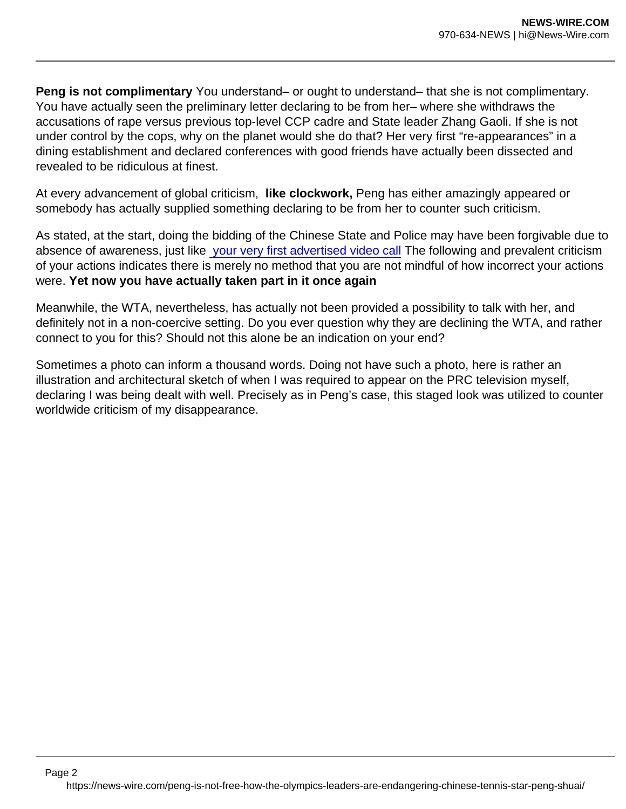Peng is not complimentary You understand– or ought to understand– that she is not complimentary. You have actually seen the preliminary letter declaring to be from her– where she withdraws the accusations of rape versus previous top-level CCP cadre and State leader Zhang Gaoli. If she is not under control by the cops, why on the planet would she do that? Her very first "re-appearances" in a dining establishment and declared conferences with good friends have actually been dissected and revealed to be ridiculous at finest.

At every advancement of global criticism, like clockwork, Peng has either amazingly appeared or somebody has actually supplied something declaring to be from her to counter such criticism.

As stated, at the start, doing the bidding of the Chinese State and Police may have been forgivable due to absence of awareness, just like [your very first advertised video call](https://olympics.com/ioc/news/ioc-president-and-ioc-athletes-commission-chair-hold-video-call-with-peng-shuai) The following and prevalent criticism of your actions indicates there is merely no method that you are not mindful of how incorrect your actions were. Yet now you have actually taken part in it once again

Meanwhile, the WTA, nevertheless, has actually not been provided a possibility to talk with her, and definitely not in a non-coercive setting. Do you ever question why they are declining the WTA, and rather connect to you for this? Should not this alone be an indication on your end?

Sometimes a photo can inform a thousand words. Doing not have such a photo, here is rather an illustration and architectural sketch of when I was required to appear on the PRC television myself, declaring I was being dealt with well. Precisely as in Peng's case, this staged look was utilized to counter worldwide criticism of my disappearance.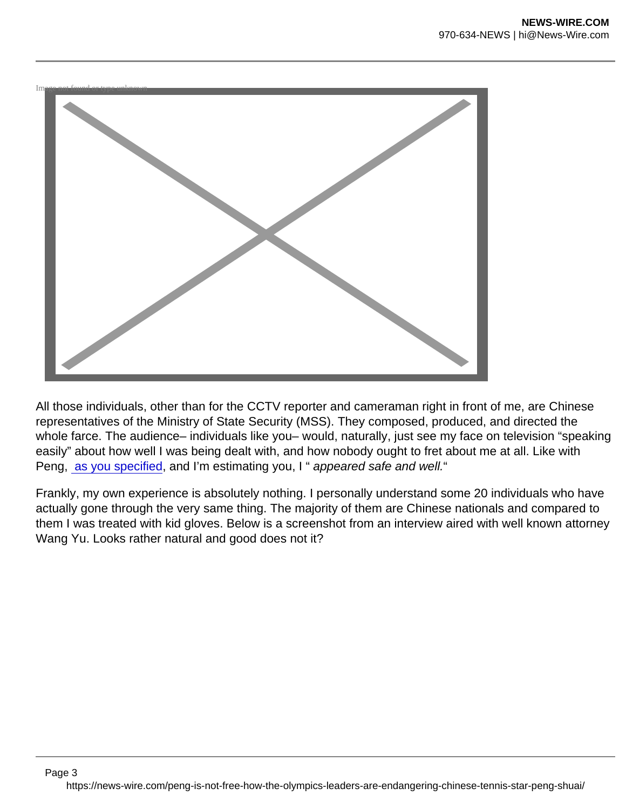

All those individuals, other than for the CCTV reporter and cameraman right in front of me, are Chinese representatives of the Ministry of State Security (MSS). They composed, produced, and directed the whole farce. The audience– individuals like you– would, naturally, just see my face on television "speaking easily" about how well I was being dealt with, and how nobody ought to fret about me at all. Like with Peng, [as you specified](https://olympics.com/ioc/news/ioc-statement-on-the-situation-of-peng-shuai), and I'm estimating you, I " appeared safe and well."

Frankly, my own experience is absolutely nothing. I personally understand some 20 individuals who have actually gone through the very same thing. The majority of them are Chinese nationals and compared to them I was treated with kid gloves. Below is a screenshot from an interview aired with well known attorney Wang Yu. Looks rather natural and good does not it?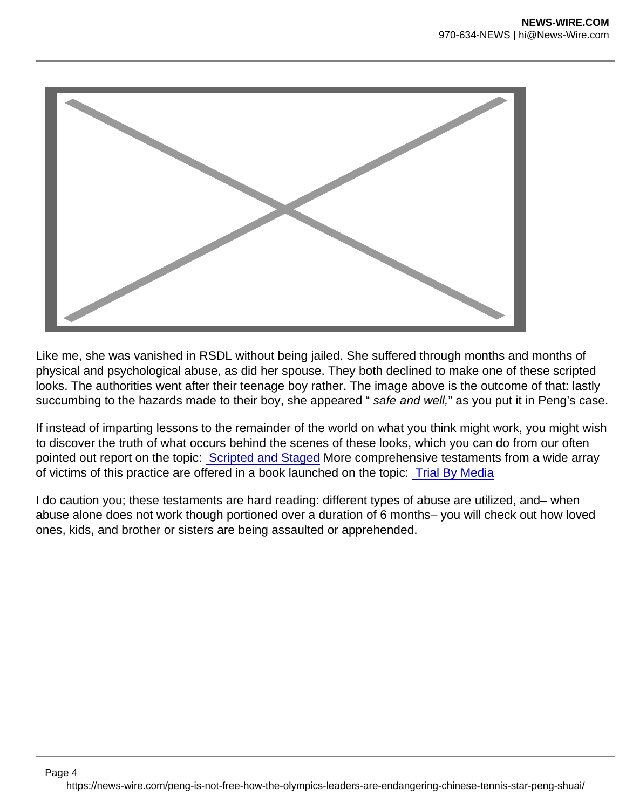

Like me, she was vanished in RSDL without being jailed. She suffered through months and months of physical and psychological abuse, as did her spouse. They both declined to make one of these scripted looks. The authorities went after their teenage boy rather. The image above is the outcome of that: lastly succumbing to the hazards made to their boy, she appeared "safe and well," as you put it in Peng's case.

If instead of imparting lessons to the remainder of the world on what you think might work, you might wish to discover the truth of what occurs behind the scenes of these looks, which you can do from our often pointed out report on the topic: [Scripted and Staged](https://safeguarddefenders.com/en/blog/new-report-offers-backstage-pass-china-s-forced-tv-confessions) More comprehensive testaments from a wide array of victims of this practice are offered in a book launched on the topic: [Trial By Media](https://www.amazon.com/Trial-Media-Chinas-expansion-Chinese/dp/0999370626/ref=sr_1_1?keywords=trial+by+media+peter+dahlin&qid=1638452632&sr=8-1)

I do caution you; these testaments are hard reading: different types of abuse are utilized, and– when abuse alone does not work though portioned over a duration of 6 months– you will check out how loved ones, kids, and brother or sisters are being assaulted or apprehended.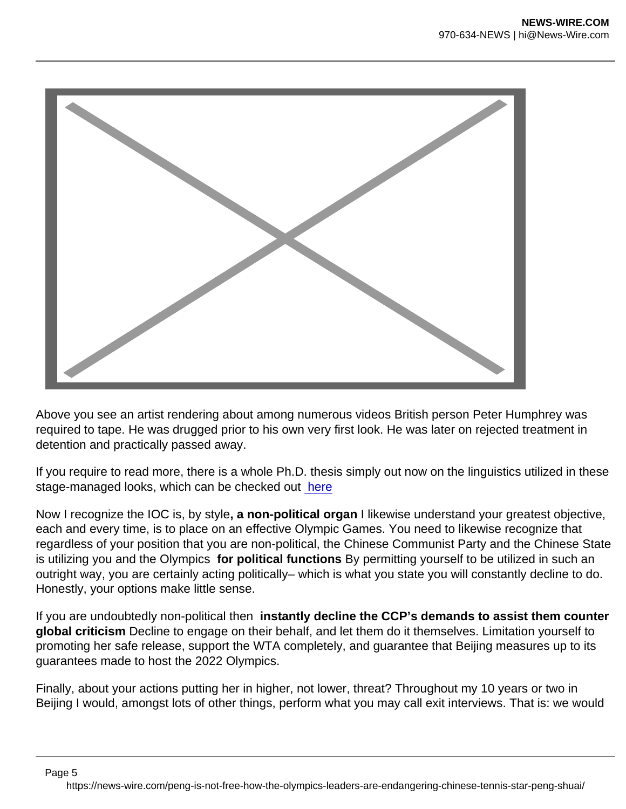

Above you see an artist rendering about among numerous videos British person Peter Humphrey was required to tape. He was drugged prior to his own very first look. He was later on rejected treatment in detention and practically passed away.

If you require to read more, there is a whole Ph.D. thesis simply out now on the linguistics utilized in these stage-managed looks, which can be checked out [here](https://safeguarddefenders.com/en/blog/why-china-s-history-forced-confessions-means-peng-shuai-ioc-call-not-credible)

Now I recognize the IOC is, by style, a non-political organ I likewise understand your greatest objective, each and every time, is to place on an effective Olympic Games. You need to likewise recognize that regardless of your position that you are non-political, the Chinese Communist Party and the Chinese State is utilizing you and the Olympics for political functions By permitting yourself to be utilized in such an outright way, you are certainly acting politically– which is what you state you will constantly decline to do. Honestly, your options make little sense.

If you are undoubtedly non-political then instantly decline the CCP's demands to assist them counter global criticism Decline to engage on their behalf, and let them do it themselves. Limitation yourself to promoting her safe release, support the WTA completely, and guarantee that Beijing measures up to its guarantees made to host the 2022 Olympics.

Finally, about your actions putting her in higher, not lower, threat? Throughout my 10 years or two in Beijing I would, amongst lots of other things, perform what you may call exit interviews. That is: we would

Page 5

https://news-wire.com/peng-is-not-free-how-the-olympics-leaders-are-endangering-chinese-tennis-star-peng-shuai/